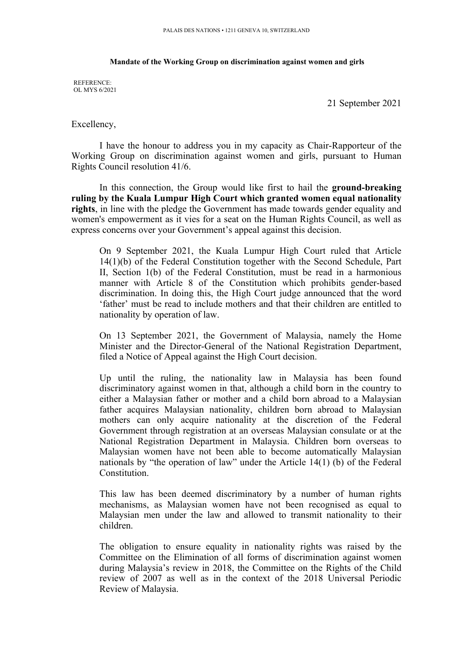## **Mandate of the Working Group on discrimination against women and girls**

REFERENCE: OL MYS 6/2021

21 September 2021

Excellency,

I have the honour to address you in my capacity as Chair-Rapporteur of the Working Group on discrimination against women and girls, pursuan<sup>t</sup> to Human Rights Council resolution 41/6.

In this connection, the Group would like first to hail the **ground-breaking ruling by the Kuala Lumpur High Court which granted women equal nationality rights**, in line with the pledge the Government has made towards gender equality and women's empowermen<sup>t</sup> as it vies for <sup>a</sup> seat on the Human Rights Council, as well as express concerns over your Government'<sup>s</sup> appeal against this decision.

On 9 September 2021, the Kuala Lumpur High Court ruled that Article 14(1)(b) of the Federal Constitution together with the Second Schedule, Part II, Section 1(b) of the Federal Constitution, must be read in <sup>a</sup> harmonious manner with Article 8 of the Constitution which prohibits gender-based discrimination. In doing this, the High Court judge announced that the word 'father' must be read to include mothers and that their children are entitled to nationality by operation of law.

On 13 September 2021, the Government of Malaysia, namely the Home Minister and the Director-General of the National Registration Department, filed <sup>a</sup> Notice of Appeal against the High Court decision.

Up until the ruling, the nationality law in Malaysia has been found discriminatory against women in that, although <sup>a</sup> child born in the country to either <sup>a</sup> Malaysian father or mother and <sup>a</sup> child born abroad to <sup>a</sup> Malaysian father acquires Malaysian nationality, children born abroad to Malaysian mothers can only acquire nationality at the discretion of the Federal Government through registration at an overseas Malaysian consulate or at the National Registration Department in Malaysia. Children born overseas to Malaysian women have not been able to become automatically Malaysian nationals by "the operation of law" under the Article 14(1) (b) of the Federal Constitution.

This law has been deemed discriminatory by <sup>a</sup> number of human rights mechanisms, as Malaysian women have not been recognised as equal to Malaysian men under the law and allowed to transmit nationality to their children.

The obligation to ensure equality in nationality rights was raised by the Committee on the Elimination of all forms of discrimination against women during Malaysia'<sup>s</sup> review in 2018, the Committee on the Rights of the Child review of 2007 as well as in the context of the 2018 Universal Periodic Review of Malaysia.